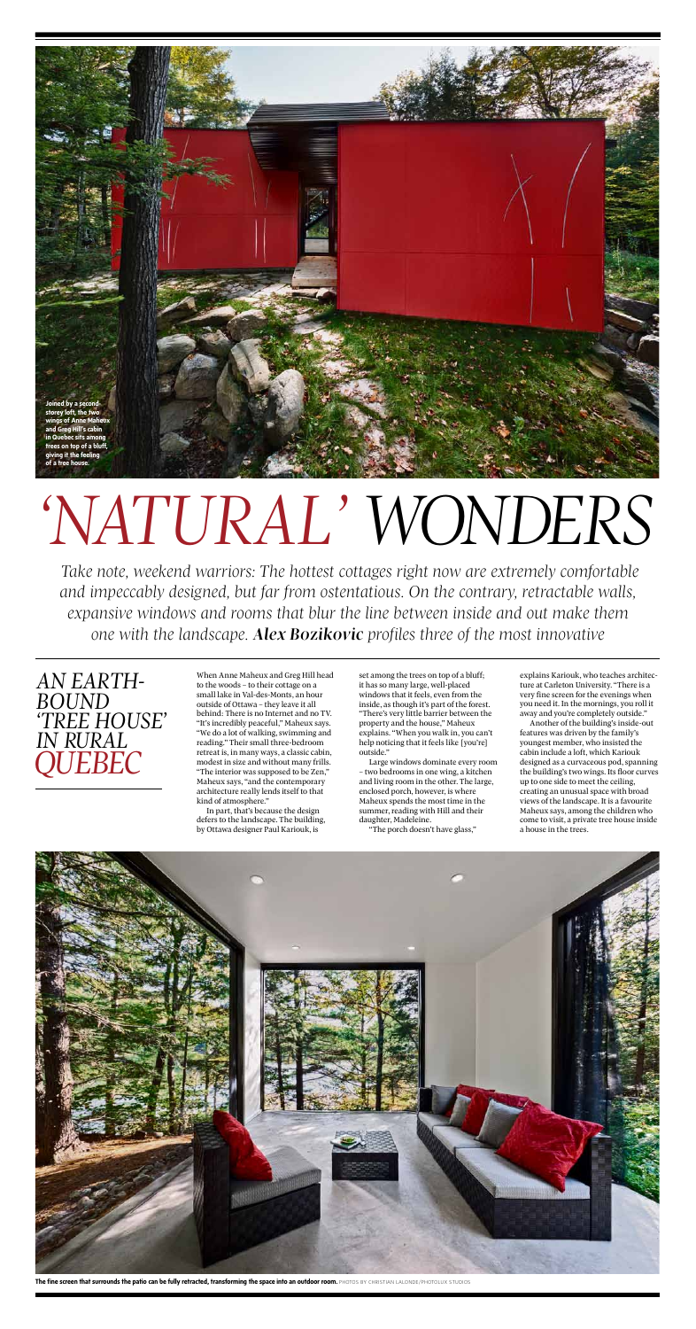# *'natural' wonders*

*Take note, weekend warriors: The hottest cottages right now are extremely comfortable and impeccably designed, but far from ostentatious. On the contrary, retractable walls, expansive windows and rooms that blur the line between inside and out make them one with the landscape. Alex Bozikovic profiles three of the most innovative*

## *an earth- bound 'tree house' in rural Quebec*

When Anne Maheux and Greg Hill head to the woods – to their cottage on a small lake in Val-des-Monts, an hour outside of Ottawa – they leave it all behind: There is no Internet and no TV. "It's incredibly peaceful," Maheux says. "We do a lot of walking, swimming and reading." Their small three-bedroom retreat is, in many ways, a classic cabin, modest in size and without many frills. "The interior was supposed to be Zen," Maheux says, "and the contemporary architecture really lends itself to that kind of atmosphere." In part, that's because the design defers to the landscape. The building, by Ottawa designer Paul Kariouk, is

set among the trees on top of a bluff; it has so many large, well-placed windows that it feels, even from the inside, as though it's part of the forest. "There's very little barrier between the property and the house," Maheux explains. "When you walk in, you can't help noticing that it feels like [you're] outside."



Large windows dominate every room – two bedrooms in one wing, a kitchen and living room in the other. The large, enclosed porch, however, is where Maheux spends the most time in the summer, reading with Hill and their daughter, Madeleine.

"The porch doesn't have glass,"



The fine screen that surrounds the patio can be fully retracted, transforming the space into an outdoor room. PHOTOS BY CHRISTIAN LALONDE/PHOTOLUX STUDIOS

explains Kariouk, who teaches architecture at Carleton University. "There is a very fine screen for the evenings when you need it. In the mornings, you roll it away and you're completely outside."

Another of the building's inside-out features was driven by the family's youngest member, who insisted the cabin include a loft, which Kariouk designed as a curvaceous pod, spanning the building's two wings. Its floor curves up to one side to meet the ceiling, creating an unusual space with broad views of the landscape. It is a favourite Maheux says, among the children who come to visit, a private tree house inside a house in the trees.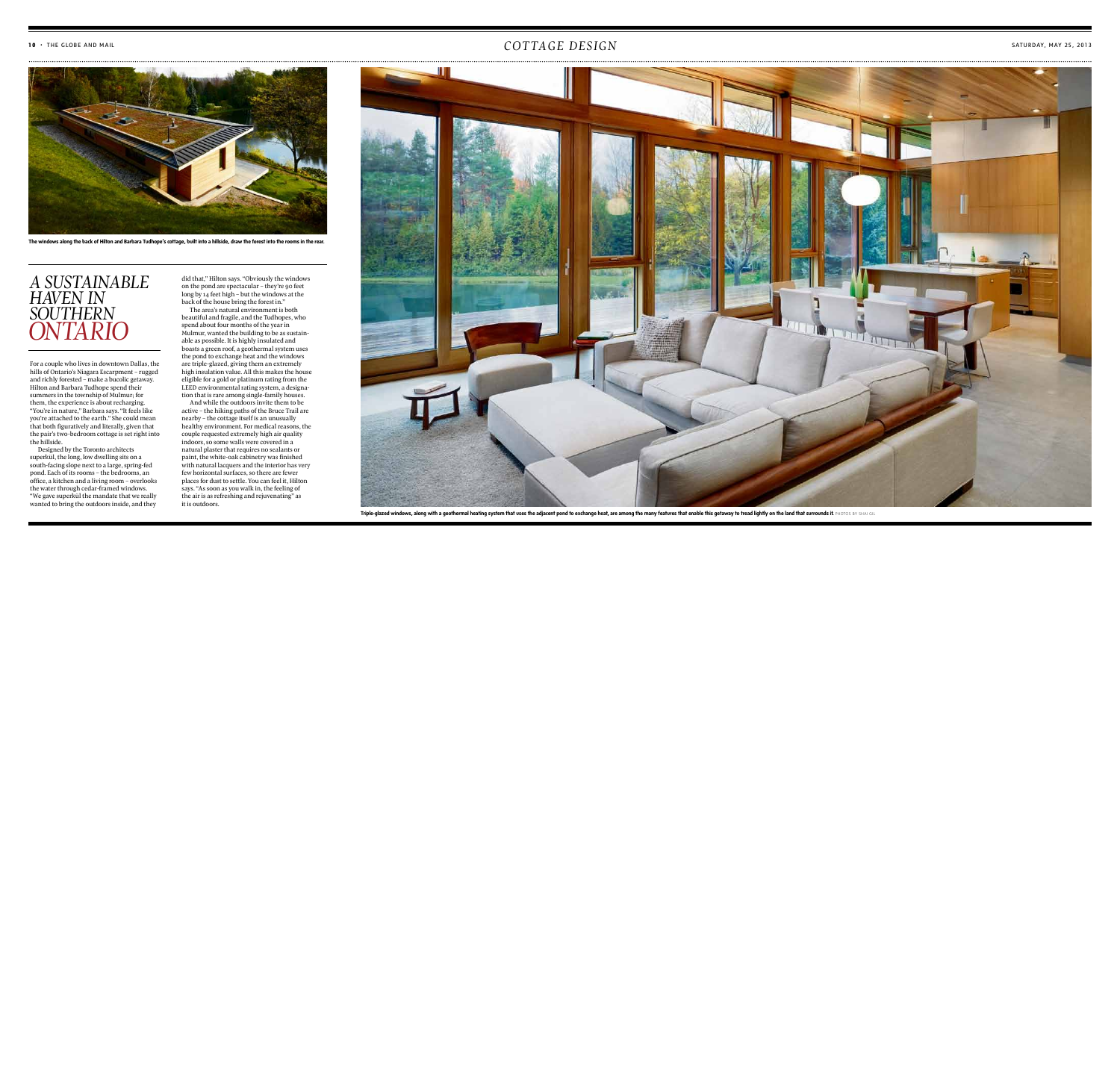#### $\mathcal{C}OTTAGE$  and mail  $\mathcal{C}OTTAGE$  and mail



Designed by the Toronto architects superkül, the long, low dwelling sits on a south-facing slope next to a large, spring-fed pond. Each of its rooms – the bedrooms, an office, a kitchen and a living room – overlooks the water through cedar-framed windows. "We gave superkül the mandate that we really wanted to bring the outdoors inside, and they

For a couple who lives in downtown Dallas, the hills of Ontario's Niagara Escarpment – rugged and richly forested – make a bucolic getaway. Hilton and Barbara Tudhope spend their summers in the township of Mulmur; for them, the experience is about recharging. "You're in nature," Barbara says. "It feels like you're attached to the earth." She could mean that both figuratively and literally, given that the pair's two-bedroom cottage is set right into the hillside.



**The windows along the back of Hilton and Barbara Tudhope's cottage, built into a hillside, draw the forest into the rooms in the rear.**

did that," Hilton says. "Obviously the windows on the pond are spectacular – they're 90 feet long by 14 feet high – but the windows at the back of the house bring the forest in." The area's natural environment is both beautiful and fragile, and the Tudhopes, who spend about four months of the year in Mulmur, wanted the building to be as sustainable as possible. It is highly insulated and boasts a green roof, a geothermal system uses the pond to exchange heat and the windows are triple-glazed, giving them an extremely high insulation value. All this makes the house eligible for a gold or platinum rating from the LEED environmental rating system, a designation that is rare among single-family houses.

And while the outdoors invite them to be active – the hiking paths of the Bruce Trail are nearby – the cottage itself is an unusually healthy environment. For medical reasons, the couple requested extremely high air quality indoors, so some walls were covered in a natural plaster that requires no sealants or paint, the white-oak cabinetry was finished with natural lacquers and the interior has very few horizontal surfaces, so there are fewer places for dust to settle. You can feel it, Hilton says. "As soon as you walk in, the feeling of the air is as refreshing and rejuvenating" as it is outdoors.

## *A sustainable haven IN southern ONTario*